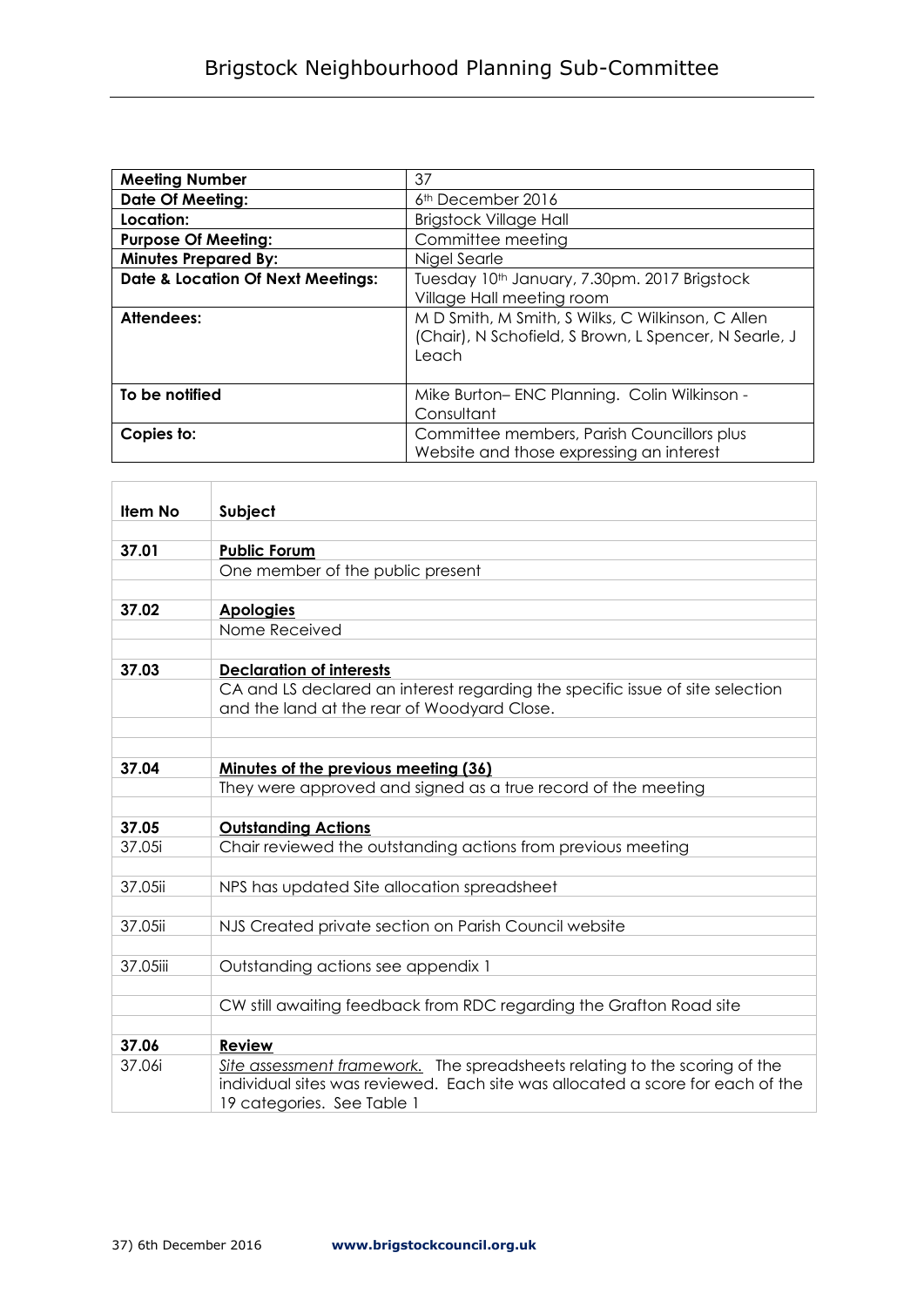| <b>Meeting Number</b>                        | 37                                                                                                                  |
|----------------------------------------------|---------------------------------------------------------------------------------------------------------------------|
| <b>Date Of Meeting:</b>                      | 6 <sup>th</sup> December 2016                                                                                       |
| Location:                                    | <b>Brigstock Village Hall</b>                                                                                       |
| <b>Purpose Of Meeting:</b>                   | Committee meeting                                                                                                   |
| <b>Minutes Prepared By:</b>                  | Nigel Searle                                                                                                        |
| <b>Date &amp; Location Of Next Meetings:</b> | Tuesday 10th January, 7.30pm. 2017 Brigstock                                                                        |
|                                              | Village Hall meeting room                                                                                           |
| Attendees:                                   | M D Smith, M Smith, S Wilks, C Wilkinson, C Allen<br>(Chair), N Schofield, S Brown, L Spencer, N Searle, J<br>Leach |
| To be notified                               | Mike Burton-ENC Planning. Colin Wilkinson -<br>Consultant                                                           |
| Copies to:                                   | Committee members, Parish Councillors plus<br>Website and those expressing an interest                              |

| Item No  | Subject                                                                                                                                                                                    |
|----------|--------------------------------------------------------------------------------------------------------------------------------------------------------------------------------------------|
|          |                                                                                                                                                                                            |
| 37.01    | <b>Public Forum</b>                                                                                                                                                                        |
|          | One member of the public present                                                                                                                                                           |
|          |                                                                                                                                                                                            |
| 37.02    | <b>Apologies</b>                                                                                                                                                                           |
|          | Nome Received                                                                                                                                                                              |
|          |                                                                                                                                                                                            |
| 37.03    | <b>Declaration of interests</b>                                                                                                                                                            |
|          | CA and LS declared an interest regarding the specific issue of site selection<br>and the land at the rear of Woodyard Close.                                                               |
|          |                                                                                                                                                                                            |
|          |                                                                                                                                                                                            |
| 37.04    | Minutes of the previous meeting (36)                                                                                                                                                       |
|          | They were approved and signed as a true record of the meeting                                                                                                                              |
|          |                                                                                                                                                                                            |
| 37.05    | <b>Outstanding Actions</b>                                                                                                                                                                 |
| 37.05i   | Chair reviewed the outstanding actions from previous meeting                                                                                                                               |
| 37.05ii  | NPS has updated Site allocation spreadsheet                                                                                                                                                |
|          |                                                                                                                                                                                            |
| 37.05ii  | NJS Created private section on Parish Council website                                                                                                                                      |
|          |                                                                                                                                                                                            |
| 37.05iii | Outstanding actions see appendix 1                                                                                                                                                         |
|          |                                                                                                                                                                                            |
|          | CW still awaiting feedback from RDC regarding the Grafton Road site                                                                                                                        |
|          |                                                                                                                                                                                            |
| 37.06    | Review                                                                                                                                                                                     |
| 37.06i   | Site assessment framework. The spreadsheets relating to the scoring of the<br>individual sites was reviewed. Each site was allocated a score for each of the<br>19 categories. See Table 1 |

 $\overline{a}$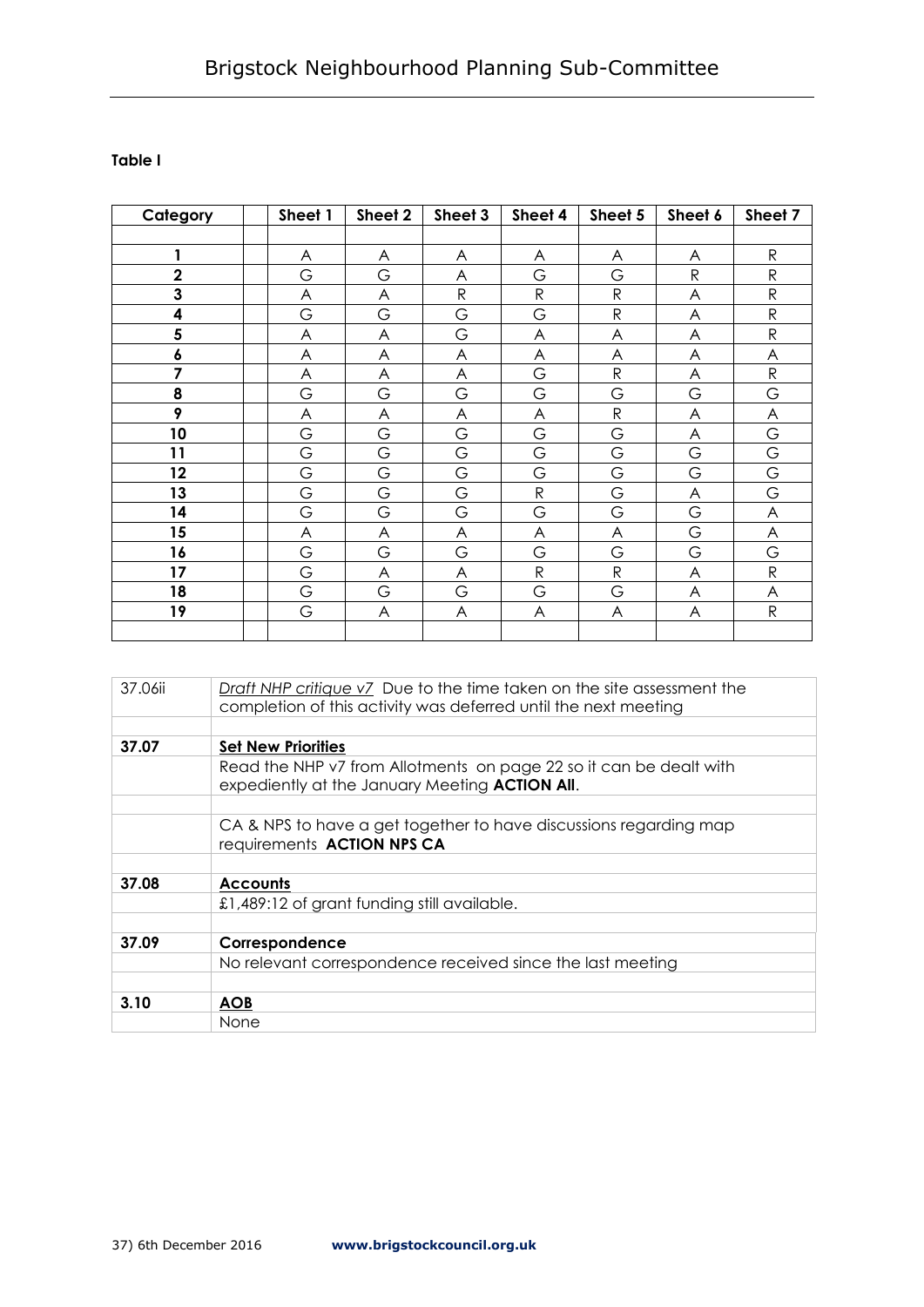## **Table I**

| Category    | Sheet 1                   | Sheet 2 | Sheet 3      | Sheet 4      | Sheet 5      | Sheet 6      | Sheet 7      |
|-------------|---------------------------|---------|--------------|--------------|--------------|--------------|--------------|
|             |                           |         |              |              |              |              |              |
| 1           | A                         | A       | A            | A            | A            | A            | ${\sf R}$    |
| $\mathbf 2$ | G                         | G       | A            | G            | G            | $\mathsf{R}$ | $\mathsf R$  |
| 3           | A                         | A       | $\mathsf{R}$ | ${\sf R}$    | ${\sf R}$    | A            | ${\sf R}$    |
| 4           | G                         | G       | G            | G            | ${\sf R}$    | A            | ${\sf R}$    |
| 5           | A                         | A       | G            | A            | A            | A            | $\mathsf{R}$ |
| $\pmb{6}$   | A                         | A       | A            | A            | A            | A            | A            |
| 7           | A                         | A       | A            | G            | ${\sf R}$    | A            | ${\sf R}$    |
| 8           | G                         | G       | G            | G            | G            | G            | G            |
| 9           | A                         | A       | A            | A            | ${\sf R}$    | A            | A            |
| 10          | G                         | G       | G            | G            | G            | A            | G            |
| 11          | G                         | G       | G            | G            | G            | G            | G            |
| 12          | G                         | G       | G            | G            | G            | G            | G            |
| 13          | G                         | G       | G            | ${\sf R}$    | G            | A            | G            |
| 14          | G                         | G       | G            | G            | G            | G            | A            |
| 15          | $\boldsymbol{\mathsf{A}}$ | A       | A            | A            | A            | G            | A            |
| 16          | G                         | G       | G            | G            | G            | G            | G            |
| 17          | G                         | A       | A            | $\mathsf{R}$ | $\mathsf{R}$ | A            | ${\sf R}$    |
| 18          | G                         | G       | G            | G            | G            | A            | A            |
| 19          | G                         | A       | A            | A            | A            | A            | ${\sf R}$    |
|             |                           |         |              |              |              |              |              |

| 37.06ii | Draft NHP critique v7 Due to the time taken on the site assessment the<br>completion of this activity was deferred until the next meeting |
|---------|-------------------------------------------------------------------------------------------------------------------------------------------|
|         |                                                                                                                                           |
| 37.07   | <b>Set New Priorities</b>                                                                                                                 |
|         | Read the NHP v7 from Allotments on page 22 so it can be dealt with<br>expediently at the January Meeting ACTION All.                      |
|         |                                                                                                                                           |
|         | CA & NPS to have a get together to have discussions regarding map<br>requirements ACTION NPS CA                                           |
|         |                                                                                                                                           |
| 37.08   | <b>Accounts</b>                                                                                                                           |
|         | £1,489:12 of grant funding still available.                                                                                               |
|         |                                                                                                                                           |
| 37.09   | Correspondence                                                                                                                            |
|         | No relevant correspondence received since the last meeting                                                                                |
|         |                                                                                                                                           |
| 3.10    | <b>AOB</b>                                                                                                                                |
|         | None                                                                                                                                      |